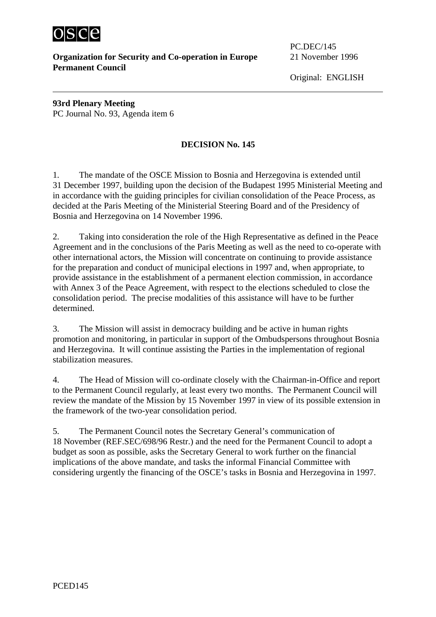

**Organization for Security and Co-operation in Europe** 21 November 1996 **Permanent Council** 

PC.DEC/145

Original: ENGLISH

**93rd Plenary Meeting**  PC Journal No. 93, Agenda item 6

## **DECISION No. 145**

1. The mandate of the OSCE Mission to Bosnia and Herzegovina is extended until 31 December 1997, building upon the decision of the Budapest 1995 Ministerial Meeting and in accordance with the guiding principles for civilian consolidation of the Peace Process, as decided at the Paris Meeting of the Ministerial Steering Board and of the Presidency of Bosnia and Herzegovina on 14 November 1996.

2. Taking into consideration the role of the High Representative as defined in the Peace Agreement and in the conclusions of the Paris Meeting as well as the need to co-operate with other international actors, the Mission will concentrate on continuing to provide assistance for the preparation and conduct of municipal elections in 1997 and, when appropriate, to provide assistance in the establishment of a permanent election commission, in accordance with Annex 3 of the Peace Agreement, with respect to the elections scheduled to close the consolidation period. The precise modalities of this assistance will have to be further determined.

3. The Mission will assist in democracy building and be active in human rights promotion and monitoring, in particular in support of the Ombudspersons throughout Bosnia and Herzegovina. It will continue assisting the Parties in the implementation of regional stabilization measures.

4. The Head of Mission will co-ordinate closely with the Chairman-in-Office and report to the Permanent Council regularly, at least every two months. The Permanent Council will review the mandate of the Mission by 15 November 1997 in view of its possible extension in the framework of the two-year consolidation period.

5. The Permanent Council notes the Secretary General's communication of 18 November (REF.SEC/698/96 Restr.) and the need for the Permanent Council to adopt a budget as soon as possible, asks the Secretary General to work further on the financial implications of the above mandate, and tasks the informal Financial Committee with considering urgently the financing of the OSCE's tasks in Bosnia and Herzegovina in 1997.